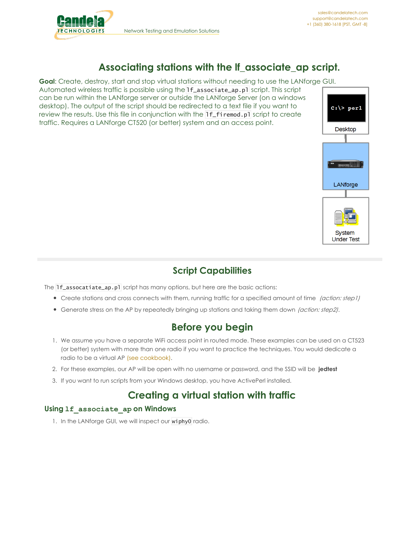

# **Associating stations with the lf\_associate\_ap script.**

**Goal**: Create, destroy, start and stop virtual stations without needing to use the LANforge GUI.

Automated wireless traffic is possible using the lf\_associate\_ap.pl script. This script can be run within the LANforge server or outside the LANforge Server (on a windows desktop). The output of the script should be redirected to a text file if you want to review the resuts. Use this file in conjunction with the If\_firemod.pl script to create traffic. Requires a LANforge CT520 (or better) system and an access point.



### **Script Capabilities**

The **1f\_assocatiate\_ap.pl** script has many options, but here are the basic actions:

- Create stations and cross connects with them, running traffic for a specified amount of time (action: step1)
- Generate stress on the AP by repeatedly bringing up stations and taking them down (action: step2).

## **Before you begin**

- 1. We assume you have a separate WiFi access point in routed mode. These examples can be used on a CT523 (or better) system with more than one radio if you want to practice the techniques. You would dedicate a radio to be a virtual AP (see [cookbook\)](http://www.candelatech.com/cookbook.php?vol=wifire&book=Routed+WiFi+VAP).
- 2. For these examples, our AP will be open with no username or password, and the SSID will be **jedtest**
- 3. If you want to run scripts from your Windows desktop, you have ActivePerl installed.

## **Creating a virtual station with traffic**

#### **Using lf\_associate\_ap on Windows**

1. In the LANforge GUI, we will inspect our wiphy0 radio.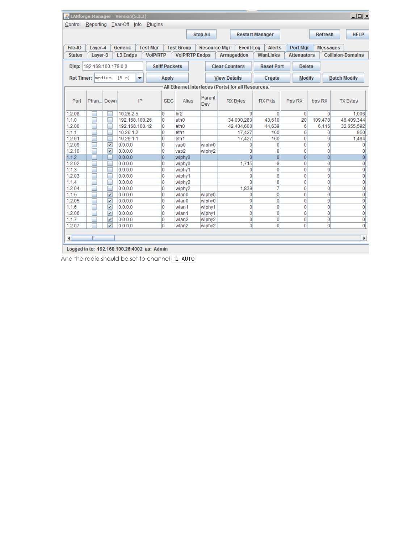|                                                                                                                  |                                                                                                                                                              |                         | 4 LANforge Manager Version(5.3.3) |                     |                       |        |                                                    |                 |                    |                | $-10x$                           |  |  |
|------------------------------------------------------------------------------------------------------------------|--------------------------------------------------------------------------------------------------------------------------------------------------------------|-------------------------|-----------------------------------|---------------------|-----------------------|--------|----------------------------------------------------|-----------------|--------------------|----------------|----------------------------------|--|--|
|                                                                                                                  | Control Reporting Tear-Off Info Plugins                                                                                                                      |                         |                                   |                     |                       |        |                                                    |                 |                    |                |                                  |  |  |
|                                                                                                                  | <b>Stop All</b><br><b>Restart Manager</b><br><b>Refresh</b><br><b>HELP</b>                                                                                   |                         |                                   |                     |                       |        |                                                    |                 |                    |                |                                  |  |  |
|                                                                                                                  |                                                                                                                                                              |                         |                                   |                     |                       |        |                                                    |                 |                    |                |                                  |  |  |
| File-IO                                                                                                          | <b>Test Group</b><br><b>Resource Mgr</b><br><b>Event Log</b><br><b>Alerts</b><br>Layer-4<br>Generic<br><b>Test Mgr</b><br><b>Port Mgr</b><br><b>Messages</b> |                         |                                   |                     |                       |        |                                                    |                 |                    |                |                                  |  |  |
| <b>Status</b>                                                                                                    | Laver-3                                                                                                                                                      |                         | <b>L3 Endps</b>                   | <b>VoIP/RTP</b>     | <b>VolP/RTP Endps</b> |        | Armageddon                                         | <b>WanLinks</b> | <b>Attenuators</b> |                | <b>Collision-Domains</b>         |  |  |
|                                                                                                                  |                                                                                                                                                              |                         |                                   |                     |                       |        |                                                    |                 |                    |                |                                  |  |  |
| Disp: 192.168.100.178:0.0<br><b>Sniff Packets</b><br><b>Clear Counters</b><br><b>Reset Port</b><br><b>Delete</b> |                                                                                                                                                              |                         |                                   |                     |                       |        |                                                    |                 |                    |                |                                  |  |  |
|                                                                                                                  | Rpt Timer: medium                                                                                                                                            |                         | (83)<br>▼                         | <b>Apply</b>        |                       |        | <b>View Details</b>                                | Create          | <b>Modify</b>      |                | <b>Batch Modify</b>              |  |  |
|                                                                                                                  |                                                                                                                                                              |                         |                                   |                     |                       |        |                                                    |                 |                    |                |                                  |  |  |
|                                                                                                                  |                                                                                                                                                              |                         |                                   |                     |                       |        | All Ethernet Interfaces (Ports) for all Resources. |                 |                    |                |                                  |  |  |
|                                                                                                                  |                                                                                                                                                              |                         |                                   |                     |                       | Parent |                                                    |                 |                    |                |                                  |  |  |
| Port                                                                                                             | Phan                                                                                                                                                         | Down                    | IP                                | <b>SEC</b>          | Alias                 | Dev    | <b>RX Bytes</b>                                    | <b>RX Pkts</b>  | Pps RX             | bps RX         | <b>TX Bytes</b>                  |  |  |
| 1.2.08                                                                                                           |                                                                                                                                                              |                         | 10.26.2.5                         | 0                   | br <sub>2</sub>       |        | $\Omega$                                           | $\mathbf 0$     | $\Omega$           | $\Omega$       | 1,006                            |  |  |
| 1.1.0                                                                                                            |                                                                                                                                                              |                         | 192.168.100.26                    | 0                   | eth <sub>0</sub>      |        | 34,000.280                                         | 43,610          | 20                 | 109,478        | 46,409,344                       |  |  |
| 1.2.00                                                                                                           |                                                                                                                                                              |                         | 192.168.100.42                    | 0                   | eth <sub>0</sub>      |        | 42,404,600                                         | 44.639          | 6                  | 6.116          | 32.655.592                       |  |  |
| 1.1.1                                                                                                            |                                                                                                                                                              |                         | 10.26.1.2                         | 0                   | eth <sub>1</sub>      |        | 17,427                                             | 160             | 0                  | 0              | 950                              |  |  |
| 1.2.01                                                                                                           |                                                                                                                                                              |                         | 10.26.1.1                         | 0                   | eth <sub>1</sub>      |        | 17,427                                             | 160             | 0                  | 0              | 1,494                            |  |  |
| 1.2.09                                                                                                           |                                                                                                                                                              | $\overline{\mathbf{v}}$ | 0.0.0.0                           | O                   | vap <sub>0</sub>      | wiphy0 | 0                                                  | 0               | 0                  | 0              | $\overline{0}$                   |  |  |
| 1.2.10                                                                                                           |                                                                                                                                                              | V                       | 0.0.0.0                           | 0                   | vap <sub>2</sub>      | wiphy2 | 0                                                  | 0               | 0                  | 0              | $\overline{0}$                   |  |  |
| 1.1.2                                                                                                            |                                                                                                                                                              |                         | 0.0.0.0                           | $\overline{0}$      | wiphy0                |        | $\overline{0}$                                     | $\overline{0}$  | $\overline{0}$     | $\overline{0}$ | 0                                |  |  |
| 1.2.02                                                                                                           |                                                                                                                                                              |                         | 0.0.0.0                           | 0                   | wiphy0                |        | 1,715                                              | 8               | 0                  | 0              | $\mathbf{0}$                     |  |  |
| 1.1.3                                                                                                            |                                                                                                                                                              |                         | 0.0.0.0                           | 0                   | wiphy1                |        | 0                                                  | $\mathbf 0$     | 0                  | 0              | $\mathbf{0}$                     |  |  |
| 1.2.03                                                                                                           |                                                                                                                                                              |                         | 0.0.0.0                           | 0                   | wiphy1                |        | 0                                                  | 0               | 0                  | 0              | $\mathbf 0$                      |  |  |
| 1.1.4                                                                                                            |                                                                                                                                                              |                         | 0.0.0.0                           | 0                   | wiphy2                |        | Ō                                                  | 0               | 0                  | $\overline{0}$ | $\overline{0}$                   |  |  |
| 1.2.04                                                                                                           |                                                                                                                                                              |                         | 0.0.0.0                           | 0                   | wiphy2                |        | 1.839                                              | 7               | 0                  | 0              | $\mathbf 0$                      |  |  |
| 1.1.5                                                                                                            |                                                                                                                                                              | V                       | 0.0.0.0                           | 0                   | wlan0                 | wiphy0 | 0                                                  | 0               | 0                  | 0              | $\overline{0}$                   |  |  |
| 1.2.05                                                                                                           |                                                                                                                                                              | $\overline{\mathbf{r}}$ | 0.0.0.0                           | 0                   | wlan0                 | wiphy0 | 0                                                  | $\mathbf 0$     | 0                  | 0              | $\boldsymbol{0}$                 |  |  |
| 1.1.6                                                                                                            |                                                                                                                                                              | $\overline{\mathbf{v}}$ | 0.0.0.0                           | 0                   | wlan1                 | wiphy1 | 0                                                  | $\mathbf 0$     | 0                  | 0              | $\overline{\mathfrak{o}}$        |  |  |
| 1.2.06                                                                                                           |                                                                                                                                                              | $\overline{\mathbf{r}}$ | 0.0.0.0                           | 0                   | wlan1                 | wiphy1 | 0                                                  | 0               | 0                  | 0              | $\overline{\mathfrak{o}}$        |  |  |
| 1.1.7<br>1.2.07                                                                                                  |                                                                                                                                                              | V<br>V                  | 0.0.0.0                           | 0<br>$\overline{0}$ | wlan2                 | wiphy2 | 0<br>0                                             | 0<br>$\Omega$   | 0<br>$\Omega$      | 0<br>0         | $\overline{0}$<br>$\overline{0}$ |  |  |
|                                                                                                                  |                                                                                                                                                              |                         | 0.0.0.0                           |                     | wlan2                 | wiphy2 |                                                    |                 |                    |                |                                  |  |  |
| н                                                                                                                | $\parallel \parallel$                                                                                                                                        |                         |                                   |                     |                       |        |                                                    |                 |                    |                | $\blacktriangleright$            |  |  |
|                                                                                                                  |                                                                                                                                                              |                         |                                   |                     |                       |        |                                                    |                 |                    |                |                                  |  |  |

Logged in to: 192.168.100.26:4002 as: Admin

And the radio should be set to channel -1 AUTO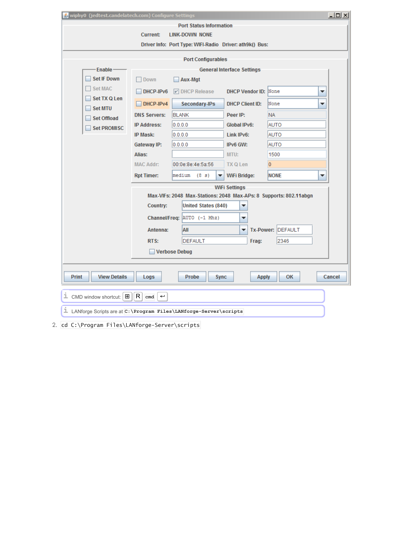| 4, wiphy0 (jedtest.candelatech.com) Configure Settings                                       |                                                                            |                                                                   |                                   |                   | $\underline{\blacksquare}$ |  |  |  |  |  |  |
|----------------------------------------------------------------------------------------------|----------------------------------------------------------------------------|-------------------------------------------------------------------|-----------------------------------|-------------------|----------------------------|--|--|--|--|--|--|
| <b>Port Status Information</b>                                                               |                                                                            |                                                                   |                                   |                   |                            |  |  |  |  |  |  |
|                                                                                              | <b>Current:</b>                                                            | <b>LINK-DOWN NONE</b>                                             |                                   |                   |                            |  |  |  |  |  |  |
|                                                                                              |                                                                            | Driver Info: Port Type: WIFI-Radio Driver: ath9k() Bus:           |                                   |                   |                            |  |  |  |  |  |  |
| <b>Port Configurables</b>                                                                    |                                                                            |                                                                   |                                   |                   |                            |  |  |  |  |  |  |
| Enable-                                                                                      |                                                                            |                                                                   | <b>General Interface Settings</b> |                   |                            |  |  |  |  |  |  |
| <b>Set IF Down</b>                                                                           | Down                                                                       | Aux-Mgt                                                           |                                   |                   |                            |  |  |  |  |  |  |
| <b>Set MAC</b>                                                                               | DHCP-IPv6                                                                  | $\triangleright$ DHCP Release                                     | DHCP Vendor ID: None              |                   | ▼                          |  |  |  |  |  |  |
| Set TX Q Len                                                                                 | DHCP-IPv4                                                                  | Secondary-IPs                                                     | <b>DHCP Client ID:</b>            | None              | ▼                          |  |  |  |  |  |  |
| <b>Set MTU</b><br><b>Set Offload</b>                                                         | <b>DNS Servers:</b>                                                        | <b>BLANK</b>                                                      | Peer IP:                          | <b>NA</b>         |                            |  |  |  |  |  |  |
| <b>Set PROMISC</b>                                                                           | <b>IP Address:</b>                                                         | 0.0.0.0                                                           | Global IPv6:                      | AUTO              |                            |  |  |  |  |  |  |
|                                                                                              | IP Mask:                                                                   | 0.0.0.0                                                           | Link IPv6:                        | AUTO              |                            |  |  |  |  |  |  |
|                                                                                              | Gateway IP:                                                                | 0.0.0.0                                                           | IPv6 GW:                          | AUTO              |                            |  |  |  |  |  |  |
|                                                                                              | Alias:                                                                     |                                                                   | MTU:                              | 1500              |                            |  |  |  |  |  |  |
|                                                                                              | $\overline{0}$<br><b>MAC Addr:</b><br>00:0e:8e:4e:5a:56<br><b>TX Q Len</b> |                                                                   |                                   |                   |                            |  |  |  |  |  |  |
|                                                                                              | <b>Rpt Timer:</b>                                                          | medium<br>(83)<br>▼                                               | WiFi Bridge:                      | <b>NONE</b>       | ▼                          |  |  |  |  |  |  |
|                                                                                              |                                                                            |                                                                   | <b>WiFi Settings</b>              |                   |                            |  |  |  |  |  |  |
|                                                                                              |                                                                            | Max-VIFs: 2048 Max-Stations: 2048 Max-APs: 8 Supports: 802.11abgn |                                   |                   |                            |  |  |  |  |  |  |
|                                                                                              | Country:                                                                   | <b>United States (840)</b>                                        | ▼                                 |                   |                            |  |  |  |  |  |  |
|                                                                                              |                                                                            | Channel/Freq: AUTO (-1 Mhz)                                       | ▼                                 |                   |                            |  |  |  |  |  |  |
|                                                                                              | Antenna:                                                                   | All                                                               | ▼                                 | Tx-Power: DEFAULT |                            |  |  |  |  |  |  |
|                                                                                              | RTS:                                                                       | <b>DEFAULT</b>                                                    | Frag:                             | 2346              |                            |  |  |  |  |  |  |
|                                                                                              |                                                                            | <b>Verbose Debug</b>                                              |                                   |                   |                            |  |  |  |  |  |  |
| Print<br><b>View Details</b><br>Probe<br>OK<br>Cancel<br>Logs<br><b>Sync</b><br><b>Apply</b> |                                                                            |                                                                   |                                   |                   |                            |  |  |  |  |  |  |
| $\perp$ CMD window shortcut: $\parallel$ $\Box$                                              | R<br>$\hookrightarrow$<br>cmd                                              |                                                                   |                                   |                   |                            |  |  |  |  |  |  |
| LANforge Scripts are at C: \Program Files\LANforge-Server\scripts                            |                                                                            |                                                                   |                                   |                   |                            |  |  |  |  |  |  |
| 2. cd C:\Program Files\LANforge-Server\scripts                                               |                                                                            |                                                                   |                                   |                   |                            |  |  |  |  |  |  |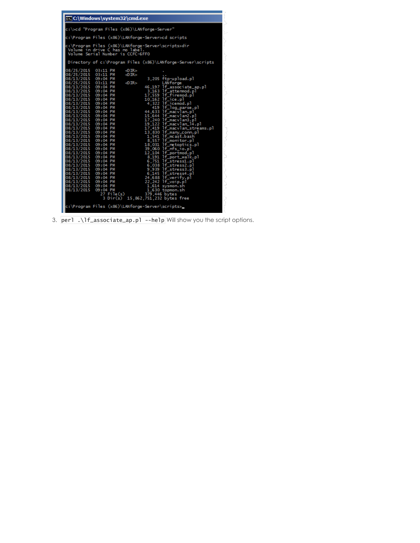| <b>Exic:</b> Windows \system32 \cmd.exe                                                                                                                                                                                                                                                                                                                                                                                                                                                                                                                                                                                                                                                                                                                                                                                                                                                                                                                                                                                                                                                                                                                                                                                                                                                                                                                                                                                                                                                                               |  |
|-----------------------------------------------------------------------------------------------------------------------------------------------------------------------------------------------------------------------------------------------------------------------------------------------------------------------------------------------------------------------------------------------------------------------------------------------------------------------------------------------------------------------------------------------------------------------------------------------------------------------------------------------------------------------------------------------------------------------------------------------------------------------------------------------------------------------------------------------------------------------------------------------------------------------------------------------------------------------------------------------------------------------------------------------------------------------------------------------------------------------------------------------------------------------------------------------------------------------------------------------------------------------------------------------------------------------------------------------------------------------------------------------------------------------------------------------------------------------------------------------------------------------|--|
| c:\>cd "Program Files (x86)\LANforge-Server"                                                                                                                                                                                                                                                                                                                                                                                                                                                                                                                                                                                                                                                                                                                                                                                                                                                                                                                                                                                                                                                                                                                                                                                                                                                                                                                                                                                                                                                                          |  |
| c:\Program Files (x86)\LANforge-Server>cd scripts                                                                                                                                                                                                                                                                                                                                                                                                                                                                                                                                                                                                                                                                                                                                                                                                                                                                                                                                                                                                                                                                                                                                                                                                                                                                                                                                                                                                                                                                     |  |
| c:\Program Files (x86)\LANforge-Server\scripts>dir<br>Volume in drive C has no label.<br>Volume Serial Number is CCFC-6FF0                                                                                                                                                                                                                                                                                                                                                                                                                                                                                                                                                                                                                                                                                                                                                                                                                                                                                                                                                                                                                                                                                                                                                                                                                                                                                                                                                                                            |  |
| Directory of c:\Program Files (x86)\LANforge-Server\scripts                                                                                                                                                                                                                                                                                                                                                                                                                                                                                                                                                                                                                                                                                                                                                                                                                                                                                                                                                                                                                                                                                                                                                                                                                                                                                                                                                                                                                                                           |  |
| $\langle$ DIR $>$<br>$\langle$ DIR $>$<br>3,205 ftp-upload.pl<br>08/13/2015 09:04 PM<br>$\le$ DIR $>$<br>LANforge<br>08/13/2015 09:04 PM<br>46,197 lf_associate_ap.pl<br>08/13/2015 09:04 PM<br>3,163 lf_attenmod.pl<br>17,559 lf_firemod.pl<br>08/13/2015 09:04 PM<br>08/13/2015 09:04 PM<br>10,162 lf_ice.pl<br>08/13/2015 09:04 PM<br>4,322 lf_icemod.pl<br>419 1f_log_parse.pl<br>08/13/2015 09:04 PM<br>08/13/2015 09:04 PM<br>44,633 lf_macvlan.pl<br>15,644 lf_macvlan2.pl<br>08/13/2015 09:04 PM<br>17,240 lf_macvlan3.pl<br>08/13/2015 09:04 PM<br>19,122 1f_macvlan_14.pl<br>17,419 1f_macvlan_14.pl<br>13,830 1f_mary_conn.pl<br>1,541 1f_mcast.bash<br>08/13/2015 09:04 PM<br>08/13/2015 09:04 PM<br>08/13/2015 09:04 PM<br>08/13/2015 09:04 PM<br>1,541   f_m.cat.bash<br>1,557   f_monitor.pl<br>18,031   f_metoptics.pl<br>12,104   f_portmod.pl<br>8,751   f_portmod.pl<br>8,751   f_portmod.pl<br>6,751   f_stress1.pl<br>6,038   f_stress2.pl<br>9,339   f_stress2.pl<br>8,145   f_stress4.pl<br>08/13/2015 09:04 PM<br>08/13/2015 09:04 PM<br>08/13/2015 09:04 PM<br>08/13/2015 09:04 PM<br>08/13/2015 09:04 PM<br>08/13/2015 09:04 PM<br>08/13/2015 09:04 PM<br>08/13/2015 09:04 PM<br>08/13/2015 09:04 PM<br>08/13/2015 09:04 PM<br>22,242 1f_voip.pl<br>08/13/2015 09:04 PM<br>08/13/2015 09:04 PM<br>1,614 sysmon.sh<br>09:04 PM<br>08/13/2015<br>1,630 topmon.sh<br>379,446 bytes<br>$27$ File $(s)$<br>3 Dir(s) 15,862,751,232 bytes free<br>c:\Program Files (x86)\LANforge-Server\scripts> |  |

3. perl .\lf\_associate\_ap.pl --help Will show you the script options.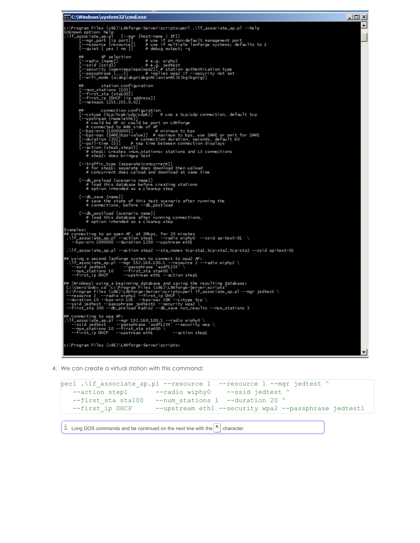```
et C:\Windows\system32\cmd.exe
                                                                                                                                                                                                                                                                                                            <u>니미지</u>
 ::\Program Files (x86)\LANforge-Server\scripts>perl .\lf_associate_ap.pl --help<br>Unknown option: help<br>\lf_associate_ap.pl [--mgn {host-name | IP}]<br>\lf_associate_ap.pl [--mgn ] # use if on non-default management port<br>[--reso
                  # AP selection<br>--radio {name}] #e.g. wiphy2<br>--ssid {ssid}] #station authentication type<br>--security {open|wep|wpa|wpa2}] #station authentication type<br>--passphrase {...}] # implies wpa2 if --security not set<br>--wifi_mode {a|a
                ## station configuration<br>[--rum_stations {10}]<br>[--first_sta {sta100}]<br>[--first_ip {DHCP |ip address}]<br>[--retmask {255.255.0.0}]
                Fig. incomes the figure of the same of the contribution<br>
Figure (tcp/tcp6/udp/udp6}] # use a tcp/udp connection, default tcp<br>
[--cxtype (tcp/tcp6/udp/udp6}] # use a tcp/udp connection, default tcp<br>
# could be AP are could 
              [--traffic_type {separate|concurrent}]<br># for step1: separate does download then upload<br># concurrent does upload and download at same time
              [--db_preload {scenario name}]<br># load this database before creating stations<br># option intended as a clearup step
              [--db_save {name}]<br># save the state of this test scenario after running the<br># connections, before --db_postload
              [--db_postload {scenario name}]<br># load this database after running connections,<br># option intended as a clearup step
Examples:<br>## connecting to an open AP, at 2Mbps, for 20 minutes<br>.\lf_associate_ap.pl --action step1 --radio wiphy0 --ssid ap-test-01 \<br>.\lf_associate_ap.pl --duration 1200 --upstream eth1<br>.\lf_associate_ap.pl --action step
  .\lf_associate_ap.pl --action step2 --sta_names tcp-sta1,tcp-sta2,tcp-sta3 --ssid ap-test-01
## using a second lanforge system to connect to wpa2 AP:<br>.\lf_associate_ap.pl --mgr 192.168.100.1 --resource 2 --radio wiphy2 \<br>--ssid jedtest ---passphrase 'asdf1234'<br>--rum_stations 10 --first_sta sta400 \<br>--first_ip DHCP
 # (Windows) using a beginning database and saving the resulting database:<br>C:\Users\bob> cd "c:\Program Files (x86)\LANforge-Server\scripts"<br>C:\Program Files (x86)\LANforge-Server\scripts>perl lf_associate_ap.pl --mgr jedte
   # connecting to wpa AP:<br>\lf_associate_ap.pl --mgr 192.168.100.1 --radio wiphy0 \<br>--ssid jedtest ---passphrase 'asdf1234' --security wep \<br>--rum_stations 10 --first_sta sta400 \<br>--first_ip DHCP --upstream eth1         --act
 ::\Program Files (x86)\LANforge-Server\scripts>
```
4. We can create a virtual station with this command:

```
perl .\lf_associate_ap.pl --resource 1 --resource 1 --mgr jedtest ^
  --action step1 --radio wiphy0 --ssid jedtest ^
  --first sta sta100 --num stations 1 --duration 20 \land--first ip DHCP --upstream eth1 --security wpa2 --passphrase jedtest1
```
 $\dot{\mathbb{1}}$  Long DOS commands and be continued on the next line with the  $\vert \Lambda \vert$  character.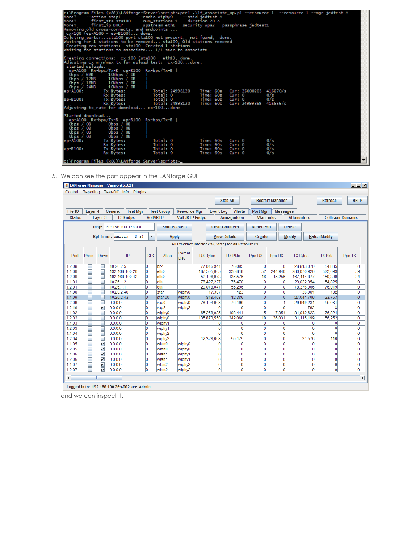| Creating connections: cx-100 (sta100 - eth1), done.<br>Adjusting cx min/max tx for upload test: cx-100done.<br>started uploads.<br>$ep- A100$ $Rx-bys/Tx-B$ $ep-B100$ $Rx-bys/Tx-B$<br>Obps / 6MB<br>10Mbps / OB<br>Obps $/$ 12MB $\qquad$ 10Mbps $/$ 0B<br>Obps / 18MB 10Mbps / 08<br>$10 \text{Mbps} / 08$<br>Obps $/24MB$<br>Total: 24998120<br>Time: 60s Cur: 25000203 416670/s<br>le p-A100 :<br>Tx Bytes:<br>Rx Bytes:<br>Total: 0<br>Time: 60s Cur: 0<br>0/s<br>Tx Bytes:<br>0/s<br>ep-B100:<br>Total: 24998120<br>Time: 60s Cur: 24999369 416656/s<br>Rx Bytes:<br>Adjusting tx_rate for download cx-100done<br>lStarted download<br>ep-A100 Rx-bps/Tx-B ep-B100 Rx-bps/Tx-B  <br>$0$ <sub>bps</sub> $/ 0$ <sub>B</sub><br>Obps / OB<br>Obps $/$ OB<br>Obps / OB<br>Obps / 0B<br>Obps / 08<br>Obps $/$ OB<br>$0$ bps $/ 0$ B<br>Total: 0<br>0/s<br>le p-A100 :<br>Time: 60s Cur: 0<br>Tx Bytes:<br>Total: 0<br>Time: 60s Cur: 0<br>0/s<br>Rx Bytes: | k:\Program Files (x86)\LANforge-Server\scripts>perl .\lf_associate_ap.pl --resource 1 --resource 1 --mgr jedtest ^<br>--action step1 --radio wiphy0 --ssid jedtest ^<br>More?<br>More? --first_sta_sta100 --rum_stations 1 --duration 20 ^<br>More? --first_ip DHCP     --upstream eth1 --security wpa2 --passphrase jedtest1<br>Removing old cross-connects, and endpoints<br>$cx-100$ (ep-A100 - ep-B100) done.<br>Deleting ports:sta100 port sta100 not present, not found, done.<br>Waiting for 1 stations to be removed sta100, Old stations removed<br>Creating new stations: sta100 Created 1 stations<br>Waiting for stations to associate $1/1$ seen to associate |                  |     |
|-------------------------------------------------------------------------------------------------------------------------------------------------------------------------------------------------------------------------------------------------------------------------------------------------------------------------------------------------------------------------------------------------------------------------------------------------------------------------------------------------------------------------------------------------------------------------------------------------------------------------------------------------------------------------------------------------------------------------------------------------------------------------------------------------------------------------------------------------------------------------------------------------------------------------------------------------------------|----------------------------------------------------------------------------------------------------------------------------------------------------------------------------------------------------------------------------------------------------------------------------------------------------------------------------------------------------------------------------------------------------------------------------------------------------------------------------------------------------------------------------------------------------------------------------------------------------------------------------------------------------------------------------|------------------|-----|
|                                                                                                                                                                                                                                                                                                                                                                                                                                                                                                                                                                                                                                                                                                                                                                                                                                                                                                                                                             |                                                                                                                                                                                                                                                                                                                                                                                                                                                                                                                                                                                                                                                                            |                  |     |
| Total: 0<br>0/s<br>Time: 60s Cur: 0<br>Rx Bytes:<br>$\overline{\phantom{a}}$<br>c:\Program Files (x86)\LANforge-Server\scripts>_                                                                                                                                                                                                                                                                                                                                                                                                                                                                                                                                                                                                                                                                                                                                                                                                                            | Total: 0<br>ep-B100:<br>Tx Bytes:                                                                                                                                                                                                                                                                                                                                                                                                                                                                                                                                                                                                                                          | Time: 60s Cur: 0 | 0/s |

5. We can see the port appear in the LANforge GUI:

|                        |         |                                         | & LANforge Manager Version(5.3.3)           |                 |                      |                       |                 |                                |                                                    |                     |                                  |                    |                                  |                                | $ \Box$ $\times$                 |
|------------------------|---------|-----------------------------------------|---------------------------------------------|-----------------|----------------------|-----------------------|-----------------|--------------------------------|----------------------------------------------------|---------------------|----------------------------------|--------------------|----------------------------------|--------------------------------|----------------------------------|
|                        |         |                                         | Control Reporting Tear-Off Info Plugins     |                 |                      |                       |                 |                                |                                                    |                     |                                  |                    |                                  |                                |                                  |
|                        |         |                                         |                                             |                 |                      |                       |                 |                                | <b>Stop All</b>                                    |                     | <b>Restart Manager</b>           |                    |                                  | <b>Refresh</b>                 | <b>HELP</b>                      |
|                        |         |                                         |                                             |                 |                      |                       |                 |                                |                                                    |                     |                                  |                    |                                  |                                |                                  |
| File-IO                | Layer-4 |                                         | Generic<br><b>Test Mar</b>                  |                 | <b>Test Group</b>    | <b>Resource Mgr</b>   |                 | <b>Event Log</b>               | <b>Alerts</b>                                      | <b>Port Mar</b>     | <b>Messages</b>                  |                    |                                  |                                |                                  |
| <b>Status</b>          |         | Layer-3                                 | <b>L3 Endps</b>                             | <b>VoIP/RTP</b> |                      | <b>VolP/RTP Endps</b> |                 |                                | Armageddon                                         | <b>WanLinks</b>     |                                  | <b>Attenuators</b> |                                  |                                | <b>Collision-Domains</b>         |
|                        |         |                                         | Disp: 192.168.100.178:0.0                   |                 | <b>Sniff Packets</b> |                       |                 |                                | <b>Clear Counters</b>                              | <b>Reset Port</b>   |                                  | <b>Delete</b>      |                                  |                                |                                  |
|                        |         |                                         | Rpt Timer: medium (8 s)                     | ▼               | <b>Apply</b>         |                       |                 |                                | <b>View Details</b>                                | Create              |                                  | <b>Modify</b>      |                                  | <b>Batch Modify</b>            |                                  |
|                        |         |                                         |                                             |                 |                      |                       |                 |                                | All Ethernet Interfaces (Ports) for all Resources. |                     |                                  |                    |                                  |                                |                                  |
| Port                   | Phan.   | <b>Down</b>                             | IP                                          | <b>SEC</b>      | Alias                | Parent<br>Dev         | <b>RX Bytes</b> |                                | <b>RX Pkts</b>                                     | Pps RX              | bps RX                           | <b>TX Bytes</b>    |                                  | <b>TX Pkts</b>                 | Pps TX                           |
| 1.2.08                 |         |                                         | 10.26.2.5                                   | 0               | br <sub>2</sub>      |                       |                 | 77,016,941                     | 76,095                                             | $\mathbf{0}$        | $\Omega$                         | 28,813,070         |                                  | 54,885                         | $\overline{0}$                   |
| 1.1.00                 |         |                                         | 192.168.100.26                              | o               | eth <sub>0</sub>     |                       |                 | 187,505,665                    | 330,818                                            | 52                  | 244,940                          | 286,076,926        |                                  | 323,699                        | 59                               |
| 1.2.00                 |         |                                         | 192.168.100.42                              | 0               | eth <sub>0</sub>     |                       |                 | 52,196,073                     | 136,576                                            | 16                  | 15,256                           | 167,444,877        |                                  | 150,309                        | 24                               |
| 1.1.01                 |         |                                         | 10.26.1.2                                   | 0               | eth <sub>1</sub>     |                       |                 | 78,427,227                     | 76,470                                             | 0                   | $\Omega$                         | 29,022,954         |                                  | 54.825                         | $\mathbf 0$                      |
| 1.2.01                 |         |                                         | 10.26.1.1                                   | o               | eth <sub>1</sub>     |                       |                 | 29,078,047                     | 55,296                                             | 0                   | $\mathbf{0}$                     | 78,376,966         |                                  | 76,019                         | $\overline{0}$                   |
| 1.1.08                 |         |                                         | 10.26.2.40                                  | 0               | sta1                 | wiphy0                |                 | 17.367                         | 123                                                | 0                   | $\overline{0}$                   |                    | 36.081                           | 182                            | $\overline{0}$                   |
| 1.1.09                 |         |                                         | 10.26.2.43                                  | 0               | sta100               | wiphy0                |                 | 818,403                        | 12,386                                             | $\overline{0}$      | $\overline{0}$                   | 27,041,709         |                                  | 23,753                         | 0                                |
| 1.2.09                 |         |                                         | 0.0.0.0                                     | 0               | vap0                 | wiphy0                |                 | 78,104,068                     | 76,196                                             | 0                   | 1                                | 29,949,231         |                                  | 55,081                         | $\mathbf{0}$                     |
| 1.2.10                 | s       | $\boldsymbol{\nu}$                      | 0.0.0.0                                     | 0               | vap2                 | wiphy <sub>2</sub>    |                 | $\Omega$                       | $\Omega$                                           | 0                   | $\mathbf{0}$                     |                    | 792                              | 8                              | $\mathbf{0}$                     |
| 1.1.02                 |         |                                         | 0.0.0.0                                     | 0               | wiphy0               |                       |                 | 65,258,035                     | 108,441                                            | 5                   | 7,354                            | 81,042,623         |                                  | 76,824                         | $\pmb{0}$                        |
| 1.2.02                 |         | ۰                                       | 0.0.0.0                                     | 0               | wiphy0               |                       |                 | 135,873,550                    | 242,060                                            | 18                  | 36,031                           | 31,115,199         |                                  | 56,252                         | 0                                |
| 1.1.03                 |         | Ξ                                       | 0.0.0.0                                     | 0               | wiphy1               |                       |                 | 0                              | 0                                                  | $\Omega$            | $\mathbf{0}$                     |                    | $\Omega$                         | 0                              | $\overline{0}$                   |
| 1.2.03                 |         |                                         | 0.0.0.0                                     | 0               | wiphy1               |                       |                 | 0                              | $\mathbf{0}$                                       | 0                   | $\mathbf{0}$                     |                    | $\mathbf{0}$                     | $\mathbf{0}$                   | $\mathbf 0$                      |
| 1.1.04                 |         |                                         | 0.0.0.0                                     | 0               | wiphy2               |                       |                 | $\Omega$                       | $\Omega$                                           | $\overline{0}$      | $\mathbf{0}$                     |                    | $\Omega$                         | $\Omega$                       | $\mathbf{0}$                     |
| 1.2.04                 |         |                                         | 0.0.0.0                                     | 0               | wiphy <sub>2</sub>   |                       |                 | 12.328.608                     | 50.175                                             | 0                   | $\mathbf{0}$                     |                    | 21.576                           | 116                            | $\overline{0}$                   |
| 1.1.05                 |         | $\overline{\mathbf{v}}$                 | 0.0.0.0                                     | 0               | lwlan0               | wiphy0                |                 | 0                              | 0                                                  | $\overline{0}$      | $\mathbf{0}$                     |                    | $\mathbf{0}$                     | $\mathbf{0}$                   | $\overline{0}$                   |
| 1.2.05                 |         | $\overline{\mathbf{v}}$                 | 0.0.0.0                                     | o               | wlan0                | wiphy0                |                 | 0                              | $\overline{0}$                                     | $\overline{0}$      | $\mathbf{0}$                     |                    | $\mathbf{0}$                     | $\mathbf{0}$                   | $\overline{0}$                   |
| 1.1.06                 |         | $\overline{\mathbf{v}}$                 | 0.0.0.0                                     | 0               | wlan1                | wiphy1                |                 | $\mathbf{0}$                   | $\overline{0}$<br>$\overline{0}$                   | 0                   | $\overline{0}$                   |                    | $\mathbf{0}$                     | $\overline{0}$                 | $\overline{0}$                   |
| 1.2.06                 |         | $\overline{\mathbf{v}}$                 | 0.0.0.0                                     | 0               | wlan1                | wiphy1                |                 | $\mathbf{0}$<br>$\overline{0}$ | $\overline{0}$                                     | 0<br>$\overline{0}$ | $\overline{0}$<br>$\overline{0}$ |                    | $\overline{0}$<br>$\overline{0}$ | $\mathbf{0}$<br>$\overline{0}$ | $\overline{0}$                   |
| 1.1.07<br>1.2.07       |         | $\mathbf{v}$<br>$\overline{\mathbf{v}}$ | 0.0.0.0<br>0.0.0.0                          | 0<br>o          | wlan2                | wiphy2                |                 | $\mathbf{0}$                   | $\overline{0}$                                     | 0                   | $\mathbf{0}$                     |                    | $\mathbf{0}$                     | $\mathbf{0}$                   | $\overline{0}$<br>$\overline{0}$ |
| $\left  \cdot \right $ |         | TI.                                     |                                             |                 | wlan2                | wiphy2                |                 |                                |                                                    |                     |                                  |                    |                                  |                                | $\blacktriangleright$            |
|                        |         |                                         |                                             |                 |                      |                       |                 |                                |                                                    |                     |                                  |                    |                                  |                                |                                  |
|                        |         |                                         | Logged in to: 192.168.100.26:4002 as: Admin |                 |                      |                       |                 |                                |                                                    |                     |                                  |                    |                                  |                                |                                  |

and we can inspect it.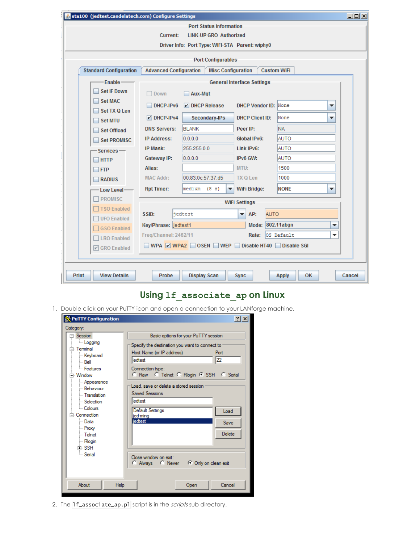| \$ sta100 (jedtest.candelatech.com) Configure Settings                                                            |                                   |                                |                             | $\Box$ u $\times$            |  |  |  |  |  |  |  |  |
|-------------------------------------------------------------------------------------------------------------------|-----------------------------------|--------------------------------|-----------------------------|------------------------------|--|--|--|--|--|--|--|--|
|                                                                                                                   |                                   | <b>Port Status Information</b> |                             |                              |  |  |  |  |  |  |  |  |
|                                                                                                                   | Current:                          | <b>LINK-UP GRO Authorized</b>  |                             |                              |  |  |  |  |  |  |  |  |
| Driver Info: Port Type: WIFI-STA Parent: wiphy0                                                                   |                                   |                                |                             |                              |  |  |  |  |  |  |  |  |
| <b>Port Configurables</b>                                                                                         |                                   |                                |                             |                              |  |  |  |  |  |  |  |  |
| <b>Advanced Configuration</b><br><b>Custom WiFi</b><br><b>Standard Configuration</b><br><b>Misc Configuration</b> |                                   |                                |                             |                              |  |  |  |  |  |  |  |  |
| Enable-                                                                                                           | <b>General Interface Settings</b> |                                |                             |                              |  |  |  |  |  |  |  |  |
| <b>Set IF Down</b>                                                                                                | <b>Down</b>                       | Aux-Mgt                        |                             |                              |  |  |  |  |  |  |  |  |
| <b>Set MAC</b>                                                                                                    |                                   |                                |                             |                              |  |  |  |  |  |  |  |  |
| Set TX Q Len                                                                                                      | DHCP-IPv6                         | $V$ DHCP Release               | <b>DHCP Vendor ID: None</b> | ▼                            |  |  |  |  |  |  |  |  |
| <b>Set MTU</b>                                                                                                    | $V$ DHCP-IPv4                     | Secondary-IPs                  | <b>DHCP Client ID:</b>      | None<br>▼                    |  |  |  |  |  |  |  |  |
| <b>Set Offload</b>                                                                                                | <b>DNS Servers:</b>               | <b>BLANK</b>                   | Peer IP:                    | <b>NA</b>                    |  |  |  |  |  |  |  |  |
| <b>Set PROMISC</b>                                                                                                | <b>IP Address:</b>                | 0.0.0.0                        | Global IPv6:                | <b>AUTO</b>                  |  |  |  |  |  |  |  |  |
| $S$ ervices —                                                                                                     | IP Mask:                          | 255.255.0.0                    | Link IPv6:                  | <b>AUTO</b>                  |  |  |  |  |  |  |  |  |
| $\neg$ HTTP                                                                                                       | Gateway IP:                       | 0.0.0.0                        | IPv6 GW:                    | <b>AUTO</b>                  |  |  |  |  |  |  |  |  |
| $\Box$ FTP                                                                                                        | Alias:                            |                                | MTU:                        | 1500                         |  |  |  |  |  |  |  |  |
| <b>RADIUS</b>                                                                                                     | <b>MAC Addr:</b>                  | 00:83:0c:57:37:d5              | <b>TX Q Len</b>             | 1000                         |  |  |  |  |  |  |  |  |
| Low Level-                                                                                                        | <b>Rpt Timer:</b>                 | medium<br>(8 s)<br>▼           | <b>WiFi Bridge:</b>         | <b>NONE</b><br>▼             |  |  |  |  |  |  |  |  |
| <b>PROMISC</b>                                                                                                    |                                   |                                | <b>WiFi Settings</b>        |                              |  |  |  |  |  |  |  |  |
| <b>TSO Enabled</b>                                                                                                | SSID:                             | jedtest                        | <b>AUTO</b><br>AP:<br>▼     |                              |  |  |  |  |  |  |  |  |
| <b>UFO Enabled</b>                                                                                                |                                   |                                | Mode:                       | 802.11abgn                   |  |  |  |  |  |  |  |  |
| <b>GSO Enabled</b>                                                                                                | Key/Phrase: jedtest1              |                                |                             | v<br>▼                       |  |  |  |  |  |  |  |  |
| □ LRO Enabled                                                                                                     | Freg/Channel: 2462/11             |                                | Rate:                       | OS Default                   |  |  |  |  |  |  |  |  |
| <b>Ø</b> GRO Enabled                                                                                              |                                   | WPA V WPA2 OSEN WEP            | Disable HT40 Disable SGI    |                              |  |  |  |  |  |  |  |  |
|                                                                                                                   |                                   |                                |                             |                              |  |  |  |  |  |  |  |  |
| <b>Print</b><br><b>View Details</b>                                                                               | Probe                             | <b>Display Scan</b>            | <b>Sync</b>                 | ОΚ<br>Cancel<br><b>Apply</b> |  |  |  |  |  |  |  |  |

# **Using lf\_associate\_ap on Linux**

1. Double click on your PuTTY icon and open a connection to your LANforge machine.

| <b>PuTTY Configuration</b> | 2x                                             |
|----------------------------|------------------------------------------------|
| Category:                  |                                                |
| ⊟ Session                  | Basic options for your PuTTY session           |
| <b>Logging</b>             | Specify the destination you want to connect to |
| ⊟⊹ Terminal                | Host Name (or IP address)                      |
| Keyboard                   | Port                                           |
| i⊹ Bell                    | 22                                             |
| - Features                 | liedtest                                       |
| ⊟ Window                   | Connection type:                               |
| - Appearance               | C Raw C Telnet C Rlogin C SSH C Serial         |
| - Behaviour                | Load, save or delete a stored session          |
| - Translation              | <b>Saved Sessions</b>                          |
| - Selection                | liedtest                                       |
| - Colours                  | Default Settings                               |
| ⊟ Connection               | Load                                           |
| i⊹ Datal                   | jed-mina                                       |
| - Proxy                    | jedtest                                        |
| ≔ Telnet                   | <b>Save</b>                                    |
| <b>Rlogin</b>              | Delete                                         |
| ு. SSH                     | Close window on exit:                          |
| <b>Serial</b>              | C Always C Never C Only on clean exit          |
| About                      | Cancel                                         |
| Help                       | Open                                           |

2. The **1f\_associate\_ap.p1** script is in the *scripts* sub directory.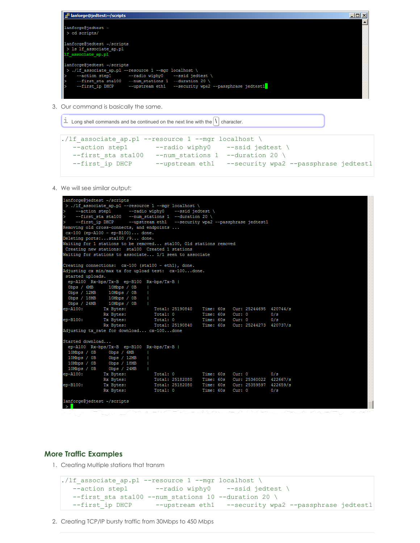

3. Our command is basically the same.

```
I Long shell commands and be continued on the next line with the \left| \right| character.
```

```
./lf associate ap.pl --resource 1 --mgr localhost \setminus--action step1 --radio wiphy0 --ssid jedtest \
  --first sta sta100 --num stations 1 --duration 20 \
  --first ip DHCP --upstream eth1 --security wpa2 --passphrase jedtest1
```
4. We will see similar output:

```
lanforge@jedtest ~/scripts
 > ./lf_associate_ap.pl --resource 1 --mgr localhost \
      Removing old cross-connects, and endpoints ...
cx-100 (ep-A100 - ep-B100)... done.
Deleting ports:...sta100 /9... done.
Waiting for 1 stations to be removed... sta100, Old stations removed
Creating new stations: sta100 Created 1 stations
Waiting for stations to associate... 1/1 seen to associate
Creating connections: cx-100 (sta100 - eth1), done.
Adjusting cx min/max tx for upload test: cx-100...done.
 started uploads.
  ep-A100 Rx-bps/Tx-B ep-B100 Rx-bps/Tx-B |<br>
0bps / 6MB | 10Mbps / 0B |<br>
0bps / 12MB | 10Mbps / 0B |<br>
0bps / 18MB | 10Mbps / 0B |<br>
0bps / 24MB | 10Mbps / 0B |<br>
0bps / 24MB | 10Mbps / 0B |
 ep-A100<br>Obps / 6MB<br>Obps / 12MB<br>Obps / 18MB<br>Obps / 24MB
                                               Tx Bytes:
 m-4100:Rx Bytes:
ep-B100:
                     Tx Bytes:
                                                Total: 25190840
                    Rx Bytes:
Adjusting tx_rate for download... cx-100...done
\begin{tabular}{lllll} \texttt{Started download...} \\ \texttt{ep-Al00} & \texttt{Rx-bps/Tx-B} & \texttt{ep-Bl00} & \texttt{Rx-bps/Tx-B} & \texttt{I} \end{tabular}10Mbps / 0B<br>10Mbps / 0B<br>10Mbps / 0B<br>10Mbps / 0B<br>10Mbps / 0B<br>10Mbps / 0B<br>10Mbps / 0B<br>10Mbps / 0B
                                                10011: 0 11me: 608 Cur: 0 0/8<br>
10011: 25182080 11me: 608 Cur: 25360022 422667/8<br>
10011: 25182080 11me: 608 Cur: 25359597 422659/8<br>
10011: 0 11me: 608 Cur: 0 0/8
                    Tx Bytes:
 m-A100:
                     Rx Bytes:
 pp - B100:Tx Bytes:
                     Rx Bytes:
lanforge@jedtest ~/scripts
 >-1اسلامی اس
```
#### **More Traffic Examples**

1. Creating Multiple stations that transm

```
./lf associate ap.pl --resource 1 --mgr localhost \setminus--action step1 ---radio wiphy0 --ssid jedtest
  --first sta sta100 --num stations 10 --duration 20 \
  --first ip DHCP --upstream eth1 --security wpa2 --passphrase jedtest1
```
2. Creating TCP/IP bursty traffic from 30Mbps to 450 Mbps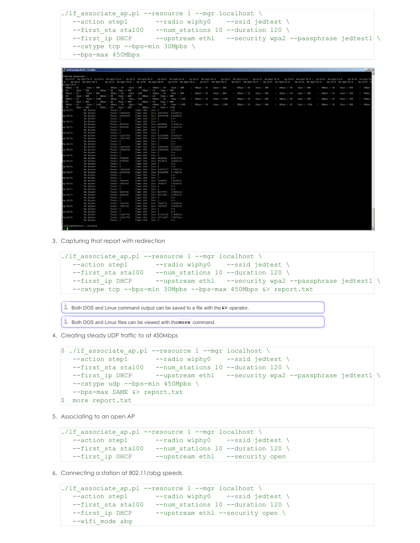```
./lf associate ap.pl --resource 1 --mgr localhost \
  --action step1 --radio wiphy0 --ssid jedtest \
  --first sta sta100 --num stations 10 --duration 120 \backslash--first ip DHCP --upstream eth1 --security wpa2 --passphrase jedtest1 \
  --cxtype tcp --bps-min 30Mpbs \
  --bps-max 450Mbps
```

|               | ⊴™ lantorge@jedtest:~/scripts                                                                                                                                                                                                  |                    |                      |                                                                                                                                                                         |                                    |                                  |            |                                    |                                    |  |                    |                  |                 |                    |                 |  |                    |                 |  |                    |                                    |                             | مرسط                     |
|---------------|--------------------------------------------------------------------------------------------------------------------------------------------------------------------------------------------------------------------------------|--------------------|----------------------|-------------------------------------------------------------------------------------------------------------------------------------------------------------------------|------------------------------------|----------------------------------|------------|------------------------------------|------------------------------------|--|--------------------|------------------|-----------------|--------------------|-----------------|--|--------------------|-----------------|--|--------------------|------------------------------------|-----------------------------|--------------------------|
|               |                                                                                                                                                                                                                                |                    |                      |                                                                                                                                                                         |                                    |                                  |            |                                    |                                    |  |                    |                  |                 |                    |                 |  |                    |                 |  |                    |                                    |                             | $\overline{\phantom{0}}$ |
|               | Started download                                                                                                                                                                                                               |                    |                      |                                                                                                                                                                         |                                    |                                  |            |                                    |                                    |  |                    |                  |                 |                    |                 |  |                    |                 |  |                    |                                    |                             |                          |
|               | ep-A100 Rx-bps/Tx-B ep-B100 Rx-bps/Tx-B   ep-A101 Rx-bps/Tx-B ep-B101 Rx-bps/Tx-B   ep-A102 Rx-bps/Tx-B ep-B102 Rx-bps/Tx-B   ep-A103 Rx-bps/Tx-B ep-B103 Rx-bps/Tx-B   ep-A104 Rx-bps/Tx-B   ep-A104 Rx-bps/Tx-B   ep-A104 Rx |                    |                      |                                                                                                                                                                         |                                    |                                  |            |                                    |                                    |  |                    |                  |                 |                    |                 |  |                    |                 |  |                    |                                    |                             |                          |
|               | $-B$   ep-A105 $Rx-bps/Tx-B$                                                                                                                                                                                                   |                    |                      | ep-B105 Rx-bps/Tx-B   ep-A106 Rx-bps/Tx-B ep-B106 Rx-bps/Tx-B   ep-A107 Rx-bps/Tx-B ep-B107 Rx-bps/Tx-B   ep-A108 Rx-bps/Tx-B ep-B108 Rx-bps/Tx-B   ep-A109 Rx-bps/Tx-B |                                    |                                  |            |                                    |                                    |  |                    |                  |                 |                    |                 |  |                    |                 |  |                    |                                    | ep-B109 B                   |                          |
| $x$ -bps/Tx-B |                                                                                                                                                                                                                                |                    |                      |                                                                                                                                                                         |                                    |                                  |            |                                    |                                    |  |                    |                  |                 |                    |                 |  |                    |                 |  |                    |                                    |                             |                          |
| SMbps / 0B    | 0 <sub>bps</sub> / 4 <sub>MB</sub>                                                                                                                                                                                             |                    |                      | 3Mbps / 0B 0bps / 3MB                                                                                                                                                   |                                    |                                  |            | 3Mbps / 0B                         | 0 <sub>pos</sub> / 3 <sub>MB</sub> |  |                    | $14$ Mbps / $0B$ | $0$ bps / $3MB$ | $\vert$ 4Mbps / 0B | Obps $/3MB$     |  | SMbps / OB         | $0$ bps / $4MB$ |  | $\vert$ 4Mbps / 0B | 0 <sub>bps</sub> / 3 <sub>MB</sub> | $\frac{3M_{\text{bps}}}{2}$ |                          |
| 0B            | $0$ bps / $3MB$                                                                                                                                                                                                                | $\vert$ 3Mbps / 0B |                      | 0 <sub>pos</sub> / 3 <sub>MB</sub>                                                                                                                                      |                                    | 1.3Mbps / 0B                     |            | 0 <sub>bps</sub> / 3 <sub>MB</sub> |                                    |  |                    |                  |                 |                    |                 |  |                    |                 |  |                    |                                    |                             |                          |
| 6Mbps / 0B    | 0 <sub>bps</sub> / 8 <sub>MB</sub>                                                                                                                                                                                             |                    | 1.3Mbps / 0B         |                                                                                                                                                                         | 0bps / 4MB                         |                                  |            | 4Mbps / 0B                         | $0$ bps / $6MB$                    |  | $\vert$ 4Mbps / 0B |                  | Obps $/$ 6MB    | 3Mbps / 0B         | $0$ bps / $5MB$ |  | 4Mbps / 0B         | $0$ bps / $6MB$ |  | 3Mbps / OB         | Obps / SMB                         | 3Mbps                       |                          |
| 0B            | 0 <sub>bps</sub> / 4 <sub>MB</sub>                                                                                                                                                                                             | $\vert$ 3Mbps / 0B |                      | $0$ bps / $4MB$                                                                                                                                                         |                                    | $\parallel$ 3Mbps / 0B           |            | Obps / 5MB                         |                                    |  |                    |                  |                 |                    |                 |  |                    |                 |  |                    |                                    |                             |                          |
| 6Mbps / 0B    |                                                                                                                                                                                                                                | Obps / 12MB        | 3Mbps / 0B           |                                                                                                                                                                         | Obps / 5MB                         |                                  |            | SMbps / OB                         | Obps / 10MB                        |  | 5Mbps / 0B         |                  | Obps / 11MB     | 3Mbps / 0B         | Obps $/$ 6MB    |  | 4Mbps / 0B         | $0$ bps / $8MB$ |  | 3Mbps / OB         | Obps / 7MB                         | 3Mbps                       |                          |
| 0B            | $0$ bps / $6MB$                                                                                                                                                                                                                | 3Mbps / 0B         |                      | $0$ bps / $6MB$                                                                                                                                                         |                                    |                                  | 4Mbps / 0B | 0bps / 8MB                         |                                    |  |                    |                  |                 |                    |                 |  |                    |                 |  |                    |                                    |                             |                          |
| SMbps / 0B    |                                                                                                                                                                                                                                | Obps / 14MB        | 3Mbps / 0B           |                                                                                                                                                                         | 0 <sub>pos</sub> / 7 <sub>MB</sub> |                                  |            | 4Mbps / 0B                         | Obps / 12MB                        |  |                    | SMbps / 0B       | Obps / 13MB     | 3Mbps / 0B         | Obps / 9MB      |  | $\vert$ 4Mbps / 0B | Obps / 11MB     |  | $3M$ bos / $0B$    | Obps / 8MB                         | $1.3M$ bps                  |                          |
| 0B            | $0$ bos / $9MB$                                                                                                                                                                                                                |                    |                      | 3Mbps / 0B 0bps / 8MB                                                                                                                                                   |                                    | $1$ 4Mbps $/$ 0B                 |            | Obos / 11MB                        |                                    |  |                    |                  |                 |                    |                 |  |                    |                 |  |                    |                                    |                             |                          |
| ep-A100:      | Tx Bytes:                                                                                                                                                                                                                      |                    | Total: 0             |                                                                                                                                                                         |                                    | Time: 60s Cur: 0                 |            |                                    | 0/s                                |  |                    |                  |                 |                    |                 |  |                    |                 |  |                    |                                    |                             |                          |
|               | Rx Bytes:                                                                                                                                                                                                                      |                    |                      | Total: 14454000                                                                                                                                                         |                                    | Time: 60s Cur: 14476921 241282/s |            |                                    |                                    |  |                    |                  |                 |                    |                 |  |                    |                 |  |                    |                                    |                             |                          |
| ep-B100:      | Tx Bytes:                                                                                                                                                                                                                      |                    |                      | Total: 14454000                                                                                                                                                         |                                    | Time: 60s                        |            |                                    | Cur: 14476196 241269/s             |  |                    |                  |                 |                    |                 |  |                    |                 |  |                    |                                    |                             |                          |
|               |                                                                                                                                                                                                                                |                    |                      |                                                                                                                                                                         |                                    |                                  | Cur: 0     |                                    | 0/s                                |  |                    |                  |                 |                    |                 |  |                    |                 |  |                    |                                    |                             |                          |
| ep-A101:      | Rx Bytes:                                                                                                                                                                                                                      |                    | Total: 0<br>Total: 0 |                                                                                                                                                                         |                                    | Time: 60s                        |            |                                    | 0/s                                |  |                    |                  |                 |                    |                 |  |                    |                 |  |                    |                                    |                             |                          |
|               | Tx Bytes:                                                                                                                                                                                                                      |                    |                      |                                                                                                                                                                         |                                    | Time: 60s Cur: 0                 |            |                                    | 114321/s                           |  |                    |                  |                 |                    |                 |  |                    |                 |  |                    |                                    |                             |                          |
|               | Rx Bytes:                                                                                                                                                                                                                      |                    |                      | Total: 6853240                                                                                                                                                          |                                    | Time: 60s                        |            | Cur: 6859299                       |                                    |  |                    |                  |                 |                    |                 |  |                    |                 |  |                    |                                    |                             |                          |
| ep-B101:      | Tx Bytes:                                                                                                                                                                                                                      |                    |                      | Total: 6853240                                                                                                                                                          |                                    | Time: 60s                        |            |                                    | Cur: 6854839 114247/8              |  |                    |                  |                 |                    |                 |  |                    |                 |  |                    |                                    |                             |                          |
|               | Rx Bytes:                                                                                                                                                                                                                      |                    | Total: 0             |                                                                                                                                                                         |                                    | Time: 60s                        | Cur: 0     |                                    | 0/s                                |  |                    |                  |                 |                    |                 |  |                    |                 |  |                    |                                    |                             |                          |
| ep-A102:      | <b>Tx Bytes:</b>                                                                                                                                                                                                               |                    | Total: 0             |                                                                                                                                                                         |                                    | Time: 60s                        | Cur: 0     |                                    | 0/3                                |  |                    |                  |                 |                    |                 |  |                    |                 |  |                    |                                    |                             |                          |
|               | Rx Bytes:                                                                                                                                                                                                                      |                    |                      | Total: 12227500<br>Total: 12227500                                                                                                                                      |                                    | Time: 60s Cur: 12324866 205414/s |            |                                    |                                    |  |                    |                  |                 |                    |                 |  |                    |                 |  |                    |                                    |                             |                          |
| ep-B102:      | <b>TX Bytes:</b>                                                                                                                                                                                                               |                    |                      |                                                                                                                                                                         |                                    | Time: 60s                        |            |                                    | Cur: 12316590 205276/s             |  |                    |                  |                 |                    |                 |  |                    |                 |  |                    |                                    |                             |                          |
|               | Rx Bytes:                                                                                                                                                                                                                      |                    | Total: 0             |                                                                                                                                                                         |                                    | Time: 60s                        | Cur: 0     |                                    | 0/3                                |  |                    |                  |                 |                    |                 |  |                    |                 |  |                    |                                    |                             |                          |
| ep-A103:      | <b>TX Bytes:</b>                                                                                                                                                                                                               |                    | Total: 0             |                                                                                                                                                                         |                                    | Time: 60s Cur: 0                 |            |                                    | 0/3                                |  |                    |                  |                 |                    |                 |  |                    |                 |  |                    |                                    |                             |                          |
|               | Rx Bytes:                                                                                                                                                                                                                      |                    |                      | Total: 13540040                                                                                                                                                         |                                    | Time: 60s                        |            |                                    | Cur: 13629540 227159/s             |  |                    |                  |                 |                    |                 |  |                    |                 |  |                    |                                    |                             |                          |
| ep-B103:      | Tx Bytes:                                                                                                                                                                                                                      |                    |                      | Total: 13540040                                                                                                                                                         |                                    | Time: 60s                        |            |                                    | Cur: 13620400 227006/s             |  |                    |                  |                 |                    |                 |  |                    |                 |  |                    |                                    |                             |                          |
|               | Rx Bytes:                                                                                                                                                                                                                      |                    | Total: 0             |                                                                                                                                                                         |                                    | Time: 60s                        | Cur: 0     |                                    | 0/3                                |  |                    |                  |                 |                    |                 |  |                    |                 |  |                    |                                    |                             |                          |
| ep-A104:      | Tx Bytes:                                                                                                                                                                                                                      |                    | Total: 0             |                                                                                                                                                                         |                                    | Time: 60s                        | Cur: 0     |                                    | 0/3                                |  |                    |                  |                 |                    |                 |  |                    |                 |  |                    |                                    |                             |                          |
|               | Rx Bytes:                                                                                                                                                                                                                      |                    |                      | Total: 9768860                                                                                                                                                          |                                    | Time: 60s                        |            | Cur: 9820252                       | 163670/s                           |  |                    |                  |                 |                    |                 |  |                    |                 |  |                    |                                    |                             |                          |
| ep-B104:      | Tx Bytes:                                                                                                                                                                                                                      |                    |                      | Total: 9768860                                                                                                                                                          |                                    | Time: 60s                        |            | Cur: 9813675                       | 163561/5                           |  |                    |                  |                 |                    |                 |  |                    |                 |  |                    |                                    |                             |                          |
|               | Rx Bytes:                                                                                                                                                                                                                      |                    | Total: 0             |                                                                                                                                                                         |                                    | Time: 60s                        | Cur: 0     |                                    | 0/3                                |  |                    |                  |                 |                    |                 |  |                    |                 |  |                    |                                    |                             |                          |
| ep-A105:      | Tx Bytes:                                                                                                                                                                                                                      |                    | Total: 0             |                                                                                                                                                                         |                                    | Time: 60s                        | Cur: 0     |                                    | 0/5                                |  |                    |                  |                 |                    |                 |  |                    |                 |  |                    |                                    |                             |                          |
|               | Rx Bytes:                                                                                                                                                                                                                      |                    |                      | Total: 10634640                                                                                                                                                         |                                    | Time: 60s                        |            |                                    | Cur: 10676277 177937/s             |  |                    |                  |                 |                    |                 |  |                    |                 |  |                    |                                    |                             |                          |
| ep-B105:      | Tx Bytes:                                                                                                                                                                                                                      |                    |                      | Total: 10634640                                                                                                                                                         |                                    | Time: 60s                        |            |                                    | Cur: 10668958 177815/s             |  |                    |                  |                 |                    |                 |  |                    |                 |  |                    |                                    |                             |                          |
|               | <b>Rx Bytes:</b>                                                                                                                                                                                                               |                    | Total: 0             |                                                                                                                                                                         |                                    | Time: 60s Cur: 0                 |            |                                    | 0/5                                |  |                    |                  |                 |                    |                 |  |                    |                 |  |                    |                                    |                             |                          |
| ep-A106:      | Tx Bytes:                                                                                                                                                                                                                      |                    | Total: 0             |                                                                                                                                                                         |                                    | Time: 60s                        | Cur: 0     |                                    | 0/5                                |  |                    |                  |                 |                    |                 |  |                    |                 |  |                    |                                    |                             |                          |
|               | <b>Rx Bytes:</b>                                                                                                                                                                                                               |                    |                      | Total: 7920500                                                                                                                                                          |                                    | Time: 60s                        |            | Cur: 7940881                       | 132348/5                           |  |                    |                  |                 |                    |                 |  |                    |                 |  |                    |                                    |                             |                          |
| ep-B106:      | Tx Bytes:                                                                                                                                                                                                                      |                    |                      | Total: 7920500                                                                                                                                                          |                                    | Time: 60s Cur: 7935577 132259/s  |            |                                    |                                    |  |                    |                  |                 |                    |                 |  |                    |                 |  |                    |                                    |                             |                          |
|               | Rx Bytes:                                                                                                                                                                                                                      |                    | Total: 0             |                                                                                                                                                                         |                                    | Time: 60s                        | Cur: 0     |                                    | 0/5                                |  |                    |                  |                 |                    |                 |  |                    |                 |  |                    |                                    |                             |                          |
| ep-A107:      | Tx Bytes:                                                                                                                                                                                                                      |                    | Total: 0             |                                                                                                                                                                         |                                    | Time: 60s                        | Cur: 0     |                                    | 0/s                                |  |                    |                  |                 |                    |                 |  |                    |                 |  |                    |                                    |                             |                          |
|               | Rx Bytes:                                                                                                                                                                                                                      |                    |                      | Total: 9206760                                                                                                                                                          |                                    | Time: 60s Cur: 9217975           |            |                                    | 153632/s                           |  |                    |                  |                 |                    |                 |  |                    |                 |  |                    |                                    |                             |                          |
| ep-B107:      | Tx Bytes:                                                                                                                                                                                                                      |                    |                      | Total: 9206760                                                                                                                                                          |                                    | Time: 60s                        |            | Cur: 9211980                       | 153533/s                           |  |                    |                  |                 |                    |                 |  |                    |                 |  |                    |                                    |                             |                          |
|               | Rx Bytes:                                                                                                                                                                                                                      |                    | Total: 0             |                                                                                                                                                                         |                                    | Time: 60s                        | Cur: 0     |                                    | 0/s                                |  |                    |                  |                 |                    |                 |  |                    |                 |  |                    |                                    |                             |                          |
| ep-A108:      | Tx Bytes:                                                                                                                                                                                                                      |                    | Total: 0             |                                                                                                                                                                         |                                    | Time: 60s Cur: 0                 |            |                                    | 0/s                                |  |                    |                  |                 |                    |                 |  |                    |                 |  |                    |                                    |                             |                          |
|               | Rx Bytes:                                                                                                                                                                                                                      |                    |                      | Total: 7400740                                                                                                                                                          |                                    | Time: 60s                        |            | Cur: 7462178                       | 124369/s                           |  |                    |                  |                 |                    |                 |  |                    |                 |  |                    |                                    |                             |                          |
| ep-B108:      | Tx Bytes:                                                                                                                                                                                                                      |                    |                      | Total: 7400740                                                                                                                                                          |                                    | Time: 60s                        |            | Cur: 7457040                       | 124284/s                           |  |                    |                  |                 |                    |                 |  |                    |                 |  |                    |                                    |                             |                          |
|               | Rx Bytes:                                                                                                                                                                                                                      |                    | Total: 0             |                                                                                                                                                                         |                                    | Time: 60s Cur: 0                 |            |                                    | 0/s                                |  |                    |                  |                 |                    |                 |  |                    |                 |  |                    |                                    |                             |                          |
| ер=А109:      | Tx Bytes:                                                                                                                                                                                                                      |                    | Total: 0             |                                                                                                                                                                         |                                    | Time: 60s                        | Cur: 0     |                                    | 0/s                                |  |                    |                  |                 |                    |                 |  |                    |                 |  |                    |                                    |                             |                          |
|               | Rx Bytes:                                                                                                                                                                                                                      |                    |                      | Total: 10647780                                                                                                                                                         |                                    | Time: 60s                        |            |                                    | Cur: 10721760 178696/s             |  |                    |                  |                 |                    |                 |  |                    |                 |  |                    |                                    |                             |                          |
| ep-B109:      | <b>Tx Bytes:</b>                                                                                                                                                                                                               |                    |                      | Total: 10647780                                                                                                                                                         |                                    | Time: 60s                        |            |                                    | Cur: 10714567 178576/s             |  |                    |                  |                 |                    |                 |  |                    |                 |  |                    |                                    |                             |                          |
|               | Rx Bytes:                                                                                                                                                                                                                      |                    | Total: 0             |                                                                                                                                                                         |                                    | Time: 60s Cur: 0                 |            |                                    | 0/s                                |  |                    |                  |                 |                    |                 |  |                    |                 |  |                    |                                    |                             |                          |
|               | lanformaßiadragt "Jacrinta                                                                                                                                                                                                     |                    |                      |                                                                                                                                                                         |                                    |                                  |            |                                    |                                    |  |                    |                  |                 |                    |                 |  |                    |                 |  |                    |                                    |                             |                          |

3. Capturing that report with redirection

```
./lf associate ap.pl --resource 1 --mgr localhost \
  --action step1 --radio wiphy0 --ssid jedtest \
  --first sta sta100 --num stations 10 --duration 120 \
  --first ip DHCP --upstream eth1 --security wpa2 --passphrase jedtest1 \
  --cxtype tcp --bps-min 30Mpbs --bps-max 450Mbps &> report.txt
```
**i** Both DOS and Linux command output can be saved to <sup>a</sup> file with the**&>** operator.

**i** Both DOS and Linux files can be viewed with the**more** command.

4. Creating steady UDP traffic to at 450Mbps

```
$ ./lf associate ap.pl --resource 1 --mgr localhost \setminus--action step1 --radio wiphy0 --ssid jedtest \
  --first sta sta100 --num stations 10 --duration 120 \setminus--first ip DHCP --upstream eth1 --security wpa2 --passphrase jedtest1 \
  --cxtype udp --bps-min 450Mpbs \
  --bps-max SAME &> report.txt
$ more report.txt
```
5. Associating to an open AP

```
./lf associate ap.pl --resource 1 --mgr localhost \setminus--action step1 --radio wiphy0 --ssid jedtest \
  --first_sta sta100 --num_stations 10 --duration 120 \
  --first ip DHCP --upstream eth1 --security open
```
6. Connecting a station at 802.11/abg speeds

```
./lf associate ap.pl --resource 1 --mgr localhost \setminus--action step1 --radio wiphy0 --ssid jedtest \
  --first sta sta100 --num stations 10 --duration 120 \
  --first ip DHCP --upstream eth1 --security open \
  --wifi_mode abg
```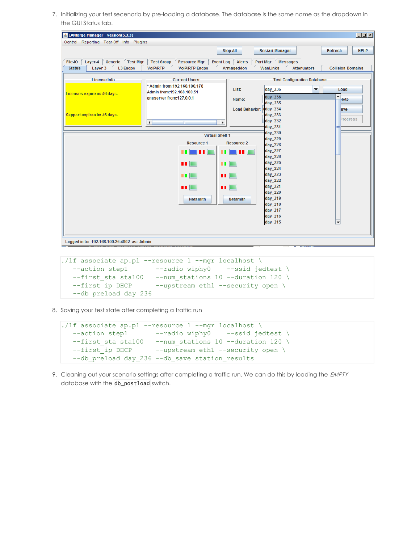7. Initializing your test secenario by pre-loading a database. The database is the same name as the dropdown in the GUI Status tab.

| & LANforge Manager Version(5.3.3)                |                                                             |                                   |                             |                                    | $\Box$ D $\times$             |
|--------------------------------------------------|-------------------------------------------------------------|-----------------------------------|-----------------------------|------------------------------------|-------------------------------|
| Control Reporting Tear-Off Info Plugins          |                                                             |                                   |                             |                                    |                               |
|                                                  |                                                             | <b>Stop All</b>                   | <b>Restart Manager</b>      |                                    | <b>HELP</b><br><b>Refresh</b> |
| Generic<br><b>Test Mgr</b><br>Layer-4<br>File-IO | <b>Test Group</b><br><b>Resource Mgr</b>                    | <b>Event Log</b><br><b>Alerts</b> | <b>Messages</b><br>Port Mgr |                                    |                               |
| <b>Status</b><br>Layer-3<br><b>L3 Endps</b>      | <b>VoIP/RTP</b><br><b>VolP/RTP Endps</b>                    | Armageddon                        | WanLinks                    | <b>Attenuators</b>                 | <b>Collision-Domains</b>      |
| <b>License Info</b>                              | <b>Current Users</b>                                        |                                   |                             | <b>Test Configuration Database</b> |                               |
|                                                  | * Admin from: 192.168.100.178<br>Admin from: 192.168.100.51 | List:                             | $\vert$ day 236             | ▼                                  | Load                          |
| Licenses expire in: 46 days.                     | qnuserver from:127.0.0.1                                    |                                   | day_236                     |                                    | ۰                             |
|                                                  |                                                             | Name:                             | day 235                     |                                    | <b>Hete</b>                   |
|                                                  |                                                             |                                   | Load Behavior: day 234      |                                    | ave                           |
| Support expires in: 46 days.                     |                                                             |                                   | day 233                     |                                    |                               |
|                                                  | $\left  \cdot \right $<br>$\mathbb{H}$                      | $\vert \cdot \vert$               | day 232                     |                                    | <i><b>Progress</b></i>        |
|                                                  |                                                             |                                   | day 231                     |                                    |                               |
|                                                  | <b>Virtual Shelf 1</b>                                      |                                   | day_230                     |                                    |                               |
|                                                  | <b>Resource 1</b>                                           | <b>Resource 2</b>                 | day_229                     |                                    |                               |
|                                                  |                                                             |                                   | day 228                     |                                    |                               |
|                                                  | ш                                                           |                                   | day_227<br>day_226          |                                    |                               |
|                                                  | п.                                                          | ш                                 | day_225                     |                                    |                               |
|                                                  |                                                             |                                   | day_224                     |                                    |                               |
|                                                  |                                                             |                                   | day_223                     |                                    |                               |
|                                                  |                                                             |                                   | day_222                     |                                    |                               |
|                                                  | <b>III</b>                                                  | m                                 | day_221                     |                                    |                               |
|                                                  |                                                             |                                   | day_220                     |                                    |                               |
|                                                  | <b>Netsmith</b>                                             | Netsmith                          | day 219                     |                                    |                               |
|                                                  |                                                             |                                   | day 218                     |                                    |                               |
|                                                  |                                                             |                                   | day_217                     |                                    |                               |
|                                                  |                                                             |                                   | day_216                     |                                    |                               |
|                                                  |                                                             |                                   | day_215                     |                                    | $\overline{\phantom{a}}$      |
|                                                  |                                                             |                                   |                             |                                    |                               |
|                                                  |                                                             |                                   |                             |                                    |                               |
| Logged in to: 192.168.100.26:4002 as: Admin      |                                                             |                                   |                             |                                    |                               |

```
./lf associate ap.pl --resource 1 --mgr localhost \setminus--action step1 --radio wiphy0 --ssid jedtest \
  --first sta sta100 --num stations 10 --duration 120 \
  --first ip DHCP --upstream eth1 --security open \
  --db_preload day_236
```
8. Saving your test state after completing a traffic run

```
./lf_associate_ap.pl --resource 1 --mgr localhost \
  --action step1 --radio wiphy0 --ssid jedtest \
  --first sta sta100 --num stations 10 --duration 120 \backslash--first_ip DHCP --upstream eth1 --security open \
  --db_preload day_236 --db_save station_results
```
9. Cleaning out your scenario settings after completing a traffic run. We can do this by loading the EMPTY database with the db\_postload switch.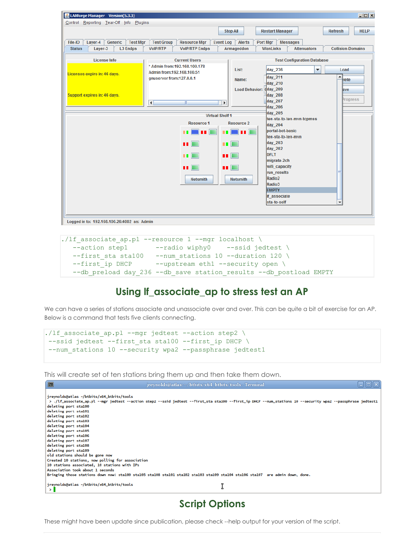| & LANforge Manager Version(5.3.3)                |                                                       |                                        |                                               | $\Box$                        |
|--------------------------------------------------|-------------------------------------------------------|----------------------------------------|-----------------------------------------------|-------------------------------|
| Control Reporting Tear-Off Info Plugins          |                                                       |                                        |                                               |                               |
|                                                  |                                                       | <b>Stop All</b>                        | <b>Restart Manager</b>                        | <b>HELP</b><br><b>Refresh</b> |
| Generic<br><b>Test Mgr</b><br>File-IO<br>Layer-4 | <b>Test Group</b><br><b>Resource Mgr</b>              | <b>Event Log</b><br><b>Alerts</b>      | Port Mgr<br><b>Messages</b>                   |                               |
| <b>Status</b><br>Layer-3<br><b>L3 Endps</b>      | <b>VolP/RTP</b><br><b>VolP/RTP Endps</b>              | Armageddon                             | <b>Attenuators</b><br>WanLinks                | <b>Collision-Domains</b>      |
| <b>License Info</b>                              | <b>Current Users</b><br>* Admin from: 192.168.100.178 | List:                                  | <b>Test Configuration Database</b><br>day_236 | Load<br>▼                     |
| Licenses expire in: 46 days.                     | Admin from:192.168.100.51<br>anuserver from:127.0.0.1 | Name:                                  | day 211<br>day 210                            | ▲<br>lete                     |
| Support expires in: 46 days.                     | $\vert \vert$<br>$\mathbb{R}$                         | <b>Load Behavior:</b><br>$  \bullet  $ | $day$ 209<br>day 208<br>day_207               | ave<br><sup>p</sup> rogress   |
|                                                  |                                                       |                                        | day_206<br>day 205                            |                               |
|                                                  |                                                       | <b>Virtual Shelf 1</b>                 | ten-sta-to-ten-mvn-tcpmss                     |                               |
|                                                  | <b>Resource 1</b>                                     | <b>Resource 2</b>                      | day 204                                       |                               |
|                                                  | <br>m                                                 | ا ده ک                                 | portal-bot-basic                              |                               |
|                                                  |                                                       |                                        | ten-sta-to-ten-mvn                            |                               |
|                                                  | <b>THE R</b>                                          | <b>THE REA</b>                         | day 203                                       |                               |
|                                                  |                                                       |                                        | day 202<br><b>DFLT</b>                        |                               |
|                                                  | <b>THE REA</b>                                        | $\blacksquare$                         | migrate-2ch                                   |                               |
|                                                  | $\blacksquare$                                        | u E                                    | wifi_capacity                                 |                               |
|                                                  |                                                       |                                        | run results                                   |                               |
|                                                  | <b>Netsmith</b>                                       | <b>Netsmith</b>                        | Radio <sub>2</sub>                            |                               |
|                                                  |                                                       |                                        | Radio3                                        |                               |
|                                                  |                                                       |                                        | <b>EMPTY</b><br>If associate                  |                               |
|                                                  |                                                       |                                        | sta-to-self                                   | ▾                             |
|                                                  |                                                       |                                        |                                               |                               |
|                                                  |                                                       |                                        |                                               |                               |
| Logged in to: 192.168.100.26:4002 as: Admin      |                                                       |                                        |                                               |                               |

```
./lf associate ap.pl --resource 1 --mgr localhost \setminus--action step1 --radio wiphy0 --ssid jedtest \
  --first sta sta100 --num stations 10 --duration 120 \
  --first ip DHCP --upstream eth1 --security open \
  --db preload day 236 --db save station results --db postload EMPTY
```
### **Using lf\_associate\_ap to stress test an AP**

We can have a series of stations associate and unassociate over and over. This can be quite a bit of exercise for an AP. Below is a command that tests five clients connecting.

```
./lf associate ap.pl --mgr jedtest --action step2 \
--ssid jedtest --first sta sta100 --first ip DHCP \
--num stations 10 --security wpa2 --passphrase jedtest1
```
This will create set of ten stations bring them up and then take them down.



### **Script Options**

These might have been update since publication, please check --help output for your version of the script.